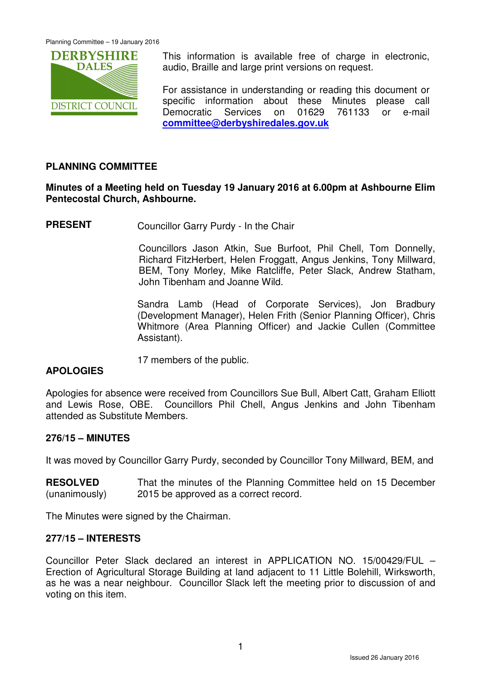

This information is available free of charge in electronic, audio, Braille and large print versions on request.

For assistance in understanding or reading this document or specific information about these Minutes please call Democratic Services on 01629 761133 or e-mail **committee@derbyshiredales.gov.uk**

# **PLANNING COMMITTEE**

### **Minutes of a Meeting held on Tuesday 19 January 2016 at 6.00pm at Ashbourne Elim Pentecostal Church, Ashbourne.**

**PRESENT** Councillor Garry Purdy - In the Chair

 Councillors Jason Atkin, Sue Burfoot, Phil Chell, Tom Donnelly, Richard FitzHerbert, Helen Froggatt, Angus Jenkins, Tony Millward, BEM, Tony Morley, Mike Ratcliffe, Peter Slack, Andrew Statham, John Tibenham and Joanne Wild.

Sandra Lamb (Head of Corporate Services), Jon Bradbury (Development Manager), Helen Frith (Senior Planning Officer), Chris Whitmore (Area Planning Officer) and Jackie Cullen (Committee Assistant).

17 members of the public.

### **APOLOGIES**

Apologies for absence were received from Councillors Sue Bull, Albert Catt, Graham Elliott and Lewis Rose, OBE. Councillors Phil Chell, Angus Jenkins and John Tibenham attended as Substitute Members.

### **276/15 – MINUTES**

It was moved by Councillor Garry Purdy, seconded by Councillor Tony Millward, BEM, and

**RESOLVED** (unanimously) That the minutes of the Planning Committee held on 15 December 2015 be approved as a correct record.

The Minutes were signed by the Chairman.

#### **277/15 – INTERESTS**

Councillor Peter Slack declared an interest in APPLICATION NO. 15/00429/FUL – Erection of Agricultural Storage Building at land adjacent to 11 Little Bolehill, Wirksworth, as he was a near neighbour. Councillor Slack left the meeting prior to discussion of and voting on this item.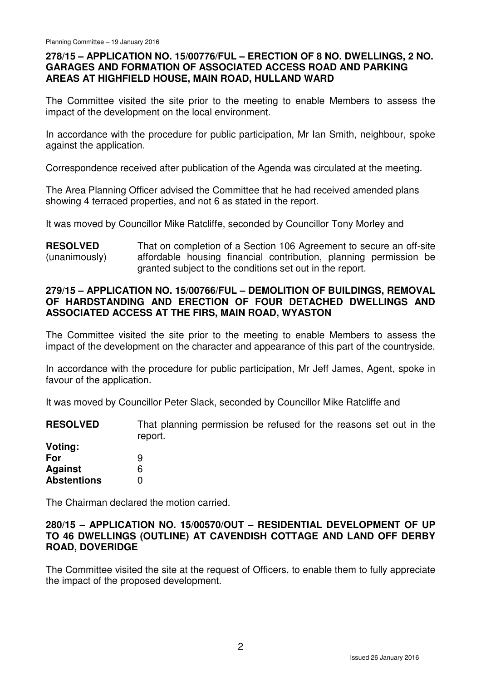### **278/15 – APPLICATION NO. 15/00776/FUL – ERECTION OF 8 NO. DWELLINGS, 2 NO. GARAGES AND FORMATION OF ASSOCIATED ACCESS ROAD AND PARKING AREAS AT HIGHFIELD HOUSE, MAIN ROAD, HULLAND WARD**

The Committee visited the site prior to the meeting to enable Members to assess the impact of the development on the local environment.

In accordance with the procedure for public participation, Mr Ian Smith, neighbour, spoke against the application.

Correspondence received after publication of the Agenda was circulated at the meeting.

The Area Planning Officer advised the Committee that he had received amended plans showing 4 terraced properties, and not 6 as stated in the report.

It was moved by Councillor Mike Ratcliffe, seconded by Councillor Tony Morley and

**RESOLVED** (unanimously) That on completion of a Section 106 Agreement to secure an off-site affordable housing financial contribution, planning permission be granted subject to the conditions set out in the report.

# **279/15 – APPLICATION NO. 15/00766/FUL – DEMOLITION OF BUILDINGS, REMOVAL OF HARDSTANDING AND ERECTION OF FOUR DETACHED DWELLINGS AND ASSOCIATED ACCESS AT THE FIRS, MAIN ROAD, WYASTON**

The Committee visited the site prior to the meeting to enable Members to assess the impact of the development on the character and appearance of this part of the countryside.

In accordance with the procedure for public participation, Mr Jeff James, Agent, spoke in favour of the application.

It was moved by Councillor Peter Slack, seconded by Councillor Mike Ratcliffe and

**RESOLVED Voting: For Against Abstentions**  That planning permission be refused for the reasons set out in the report. 9 6 0

The Chairman declared the motion carried.

### **280/15 – APPLICATION NO. 15/00570/OUT – RESIDENTIAL DEVELOPMENT OF UP TO 46 DWELLINGS (OUTLINE) AT CAVENDISH COTTAGE AND LAND OFF DERBY ROAD, DOVERIDGE**

The Committee visited the site at the request of Officers, to enable them to fully appreciate the impact of the proposed development.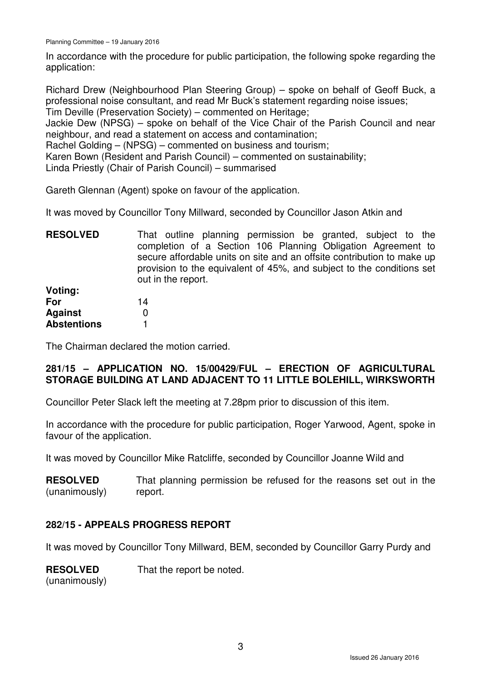In accordance with the procedure for public participation, the following spoke regarding the application:

Richard Drew (Neighbourhood Plan Steering Group) – spoke on behalf of Geoff Buck, a professional noise consultant, and read Mr Buck's statement regarding noise issues; Tim Deville (Preservation Society) – commented on Heritage;

Jackie Dew (NPSG) – spoke on behalf of the Vice Chair of the Parish Council and near neighbour, and read a statement on access and contamination;

Rachel Golding – (NPSG) – commented on business and tourism;

Karen Bown (Resident and Parish Council) – commented on sustainability;

Linda Priestly (Chair of Parish Council) – summarised

Gareth Glennan (Agent) spoke on favour of the application.

It was moved by Councillor Tony Millward, seconded by Councillor Jason Atkin and

**RESOLVED** That outline planning permission be granted, subject to the completion of a Section 106 Planning Obligation Agreement to secure affordable units on site and an offsite contribution to make up provision to the equivalent of 45%, and subject to the conditions set out in the report.

| Voting:            |    |
|--------------------|----|
| For                | 14 |
| Aqainst            | O  |
| <b>Abstentions</b> |    |

The Chairman declared the motion carried.

# **281/15 – APPLICATION NO. 15/00429/FUL – ERECTION OF AGRICULTURAL STORAGE BUILDING AT LAND ADJACENT TO 11 LITTLE BOLEHILL, WIRKSWORTH**

Councillor Peter Slack left the meeting at 7.28pm prior to discussion of this item.

In accordance with the procedure for public participation, Roger Yarwood, Agent, spoke in favour of the application.

It was moved by Councillor Mike Ratcliffe, seconded by Councillor Joanne Wild and

**RESOLVED** (unanimously) That planning permission be refused for the reasons set out in the report.

# **282/15 - APPEALS PROGRESS REPORT**

It was moved by Councillor Tony Millward, BEM, seconded by Councillor Garry Purdy and

**RESOLVED** That the report be noted.

(unanimously)